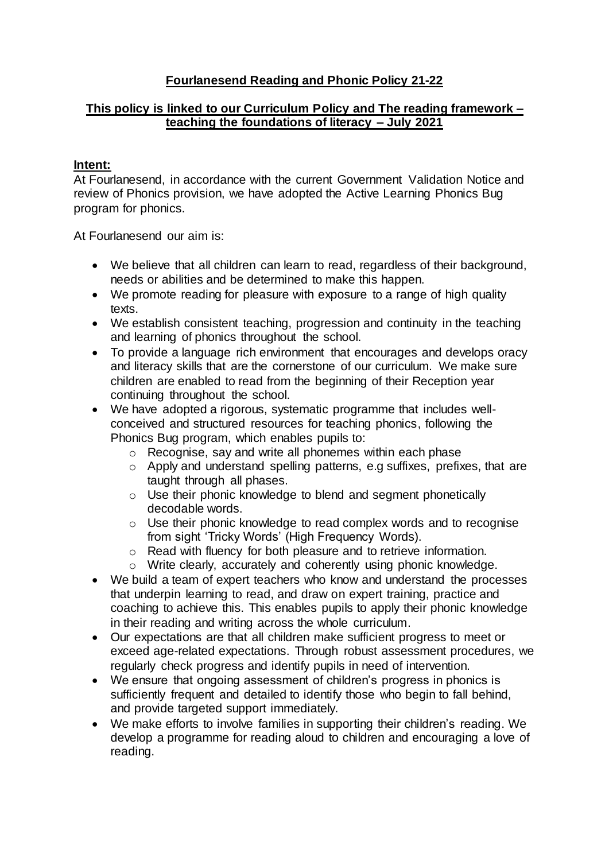# **Fourlanesend Reading and Phonic Policy 21-22**

# **This policy is linked to our Curriculum Policy and The reading framework – teaching the foundations of literacy – July 2021**

## **Intent:**

At Fourlanesend, in accordance with the current Government Validation Notice and review of Phonics provision, we have adopted the Active Learning Phonics Bug program for phonics.

At Fourlanesend our aim is:

- We believe that all children can learn to read, regardless of their background, needs or abilities and be determined to make this happen.
- We promote reading for pleasure with exposure to a range of high quality texts.
- We establish consistent teaching, progression and continuity in the teaching and learning of phonics throughout the school.
- To provide a language rich environment that encourages and develops oracy and literacy skills that are the cornerstone of our curriculum. We make sure children are enabled to read from the beginning of their Reception year continuing throughout the school.
- We have adopted a rigorous, systematic programme that includes wellconceived and structured resources for teaching phonics, following the Phonics Bug program, which enables pupils to:
	- o Recognise, say and write all phonemes within each phase
	- o Apply and understand spelling patterns, e.g suffixes, prefixes, that are taught through all phases.
	- o Use their phonic knowledge to blend and segment phonetically decodable words.
	- o Use their phonic knowledge to read complex words and to recognise from sight 'Tricky Words' (High Frequency Words).
	- o Read with fluency for both pleasure and to retrieve information.
	- o Write clearly, accurately and coherently using phonic knowledge.
- We build a team of expert teachers who know and understand the processes that underpin learning to read, and draw on expert training, practice and coaching to achieve this. This enables pupils to apply their phonic knowledge in their reading and writing across the whole curriculum.
- Our expectations are that all children make sufficient progress to meet or exceed age-related expectations. Through robust assessment procedures, we regularly check progress and identify pupils in need of intervention.
- We ensure that ongoing assessment of children's progress in phonics is sufficiently frequent and detailed to identify those who begin to fall behind, and provide targeted support immediately.
- We make efforts to involve families in supporting their children's reading. We develop a programme for reading aloud to children and encouraging a love of reading.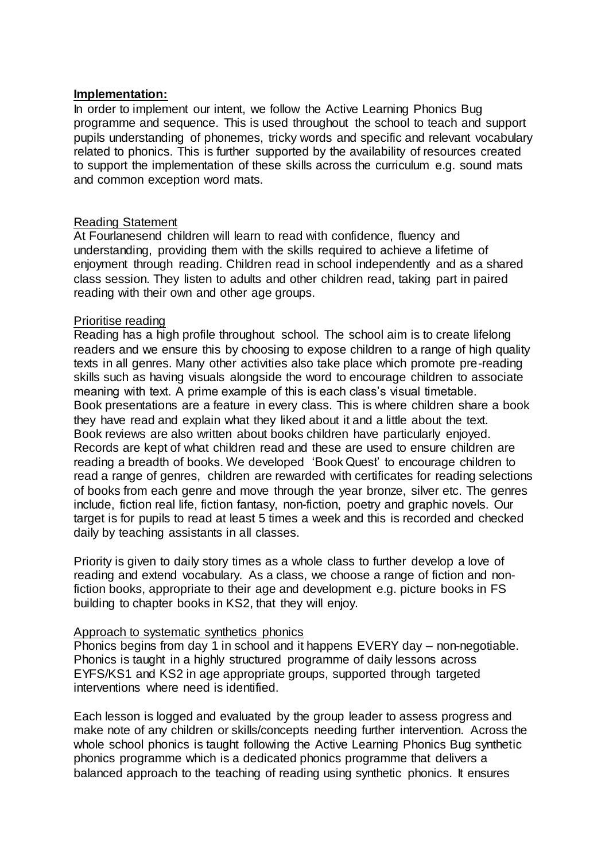#### **Implementation:**

In order to implement our intent, we follow the Active Learning Phonics Bug programme and sequence. This is used throughout the school to teach and support pupils understanding of phonemes, tricky words and specific and relevant vocabulary related to phonics. This is further supported by the availability of resources created to support the implementation of these skills across the curriculum e.g. sound mats and common exception word mats.

#### Reading Statement

At Fourlanesend children will learn to read with confidence, fluency and understanding, providing them with the skills required to achieve a lifetime of enjoyment through reading. Children read in school independently and as a shared class session. They listen to adults and other children read, taking part in paired reading with their own and other age groups.

### Prioritise reading

Reading has a high profile throughout school. The school aim is to create lifelong readers and we ensure this by choosing to expose children to a range of high quality texts in all genres. Many other activities also take place which promote pre-reading skills such as having visuals alongside the word to encourage children to associate meaning with text. A prime example of this is each class's visual timetable. Book presentations are a feature in every class. This is where children share a book they have read and explain what they liked about it and a little about the text. Book reviews are also written about books children have particularly enjoyed. Records are kept of what children read and these are used to ensure children are reading a breadth of books. We developed 'Book Quest' to encourage children to read a range of genres, children are rewarded with certificates for reading selections of books from each genre and move through the year bronze, silver etc. The genres include, fiction real life, fiction fantasy, non-fiction, poetry and graphic novels. Our target is for pupils to read at least 5 times a week and this is recorded and checked daily by teaching assistants in all classes.

Priority is given to daily story times as a whole class to further develop a love of reading and extend vocabulary. As a class, we choose a range of fiction and nonfiction books, appropriate to their age and development e.g. picture books in FS building to chapter books in KS2, that they will enjoy.

#### Approach to systematic synthetics phonics

Phonics begins from day 1 in school and it happens EVERY day – non-negotiable. Phonics is taught in a highly structured programme of daily lessons across EYFS/KS1 and KS2 in age appropriate groups, supported through targeted interventions where need is identified.

Each lesson is logged and evaluated by the group leader to assess progress and make note of any children or skills/concepts needing further intervention. Across the whole school phonics is taught following the Active Learning Phonics Bug synthetic phonics programme which is a dedicated phonics programme that delivers a balanced approach to the teaching of reading using synthetic phonics. It ensures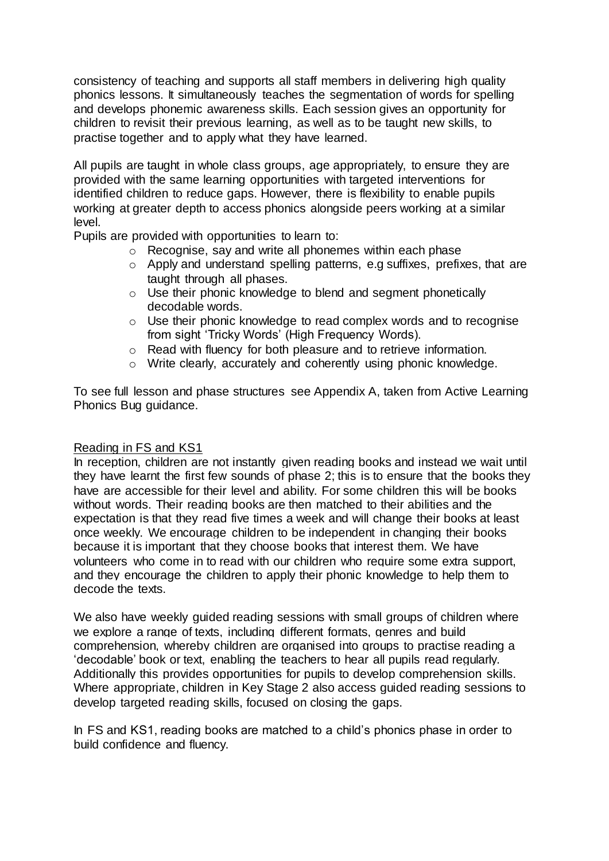consistency of teaching and supports all staff members in delivering high quality phonics lessons. It simultaneously teaches the segmentation of words for spelling and develops phonemic awareness skills. Each session gives an opportunity for children to revisit their previous learning, as well as to be taught new skills, to practise together and to apply what they have learned.

All pupils are taught in whole class groups, age appropriately, to ensure they are provided with the same learning opportunities with targeted interventions for identified children to reduce gaps. However, there is flexibility to enable pupils working at greater depth to access phonics alongside peers working at a similar level.

Pupils are provided with opportunities to learn to:

- o Recognise, say and write all phonemes within each phase
- o Apply and understand spelling patterns, e.g suffixes, prefixes, that are taught through all phases.
- o Use their phonic knowledge to blend and segment phonetically decodable words.
- $\circ$  Use their phonic knowledge to read complex words and to recognise from sight 'Tricky Words' (High Frequency Words).
- o Read with fluency for both pleasure and to retrieve information.
- o Write clearly, accurately and coherently using phonic knowledge.

To see full lesson and phase structures see Appendix A, taken from Active Learning Phonics Bug guidance.

#### Reading in FS and KS1

In reception, children are not instantly given reading books and instead we wait until they have learnt the first few sounds of phase 2; this is to ensure that the books they have are accessible for their level and ability. For some children this will be books without words. Their reading books are then matched to their abilities and the expectation is that they read five times a week and will change their books at least once weekly. We encourage children to be independent in changing their books because it is important that they choose books that interest them. We have volunteers who come in to read with our children who require some extra support, and they encourage the children to apply their phonic knowledge to help them to decode the texts.

We also have weekly guided reading sessions with small groups of children where we explore a range of texts, including different formats, genres and build comprehension, whereby children are organised into groups to practise reading a 'decodable' book or text, enabling the teachers to hear all pupils read regularly. Additionally this provides opportunities for pupils to develop comprehension skills. Where appropriate, children in Key Stage 2 also access guided reading sessions to develop targeted reading skills, focused on closing the gaps.

In FS and KS1, reading books are matched to a child's phonics phase in order to build confidence and fluency.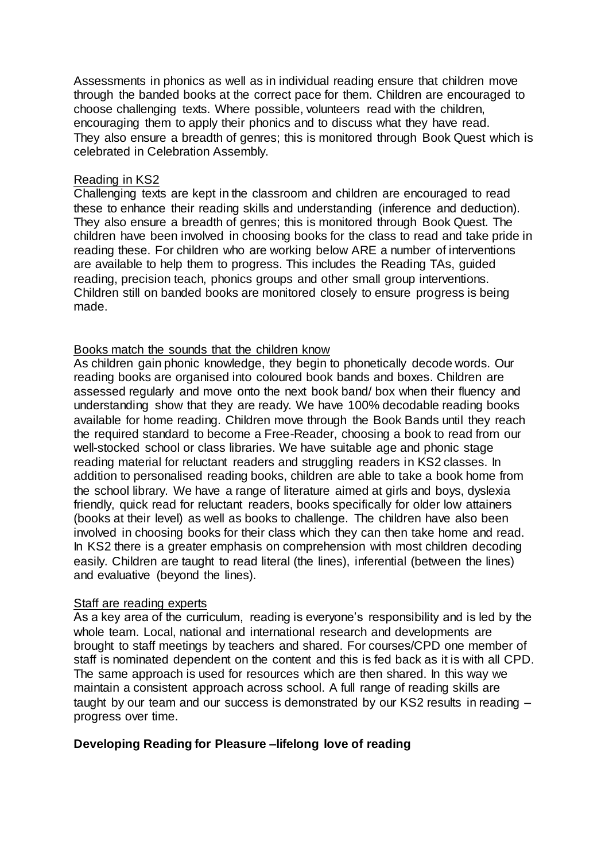Assessments in phonics as well as in individual reading ensure that children move through the banded books at the correct pace for them. Children are encouraged to choose challenging texts. Where possible, volunteers read with the children, encouraging them to apply their phonics and to discuss what they have read. They also ensure a breadth of genres; this is monitored through Book Quest which is celebrated in Celebration Assembly.

#### Reading in KS2

Challenging texts are kept in the classroom and children are encouraged to read these to enhance their reading skills and understanding (inference and deduction). They also ensure a breadth of genres; this is monitored through Book Quest. The children have been involved in choosing books for the class to read and take pride in reading these. For children who are working below ARE a number of interventions are available to help them to progress. This includes the Reading TAs, guided reading, precision teach, phonics groups and other small group interventions. Children still on banded books are monitored closely to ensure progress is being made.

### Books match the sounds that the children know

As children gain phonic knowledge, they begin to phonetically decode words. Our reading books are organised into coloured book bands and boxes. Children are assessed regularly and move onto the next book band/ box when their fluency and understanding show that they are ready. We have 100% decodable reading books available for home reading. Children move through the Book Bands until they reach the required standard to become a Free-Reader, choosing a book to read from our well-stocked school or class libraries. We have suitable age and phonic stage reading material for reluctant readers and struggling readers in KS2 classes. In addition to personalised reading books, children are able to take a book home from the school library. We have a range of literature aimed at girls and boys, dyslexia friendly, quick read for reluctant readers, books specifically for older low attainers (books at their level) as well as books to challenge. The children have also been involved in choosing books for their class which they can then take home and read. In KS2 there is a greater emphasis on comprehension with most children decoding easily. Children are taught to read literal (the lines), inferential (between the lines) and evaluative (beyond the lines).

#### Staff are reading experts

As a key area of the curriculum, reading is everyone's responsibility and is led by the whole team. Local, national and international research and developments are brought to staff meetings by teachers and shared. For courses/CPD one member of staff is nominated dependent on the content and this is fed back as it is with all CPD. The same approach is used for resources which are then shared. In this way we maintain a consistent approach across school. A full range of reading skills are taught by our team and our success is demonstrated by our KS2 results in reading – progress over time.

## **Developing Reading for Pleasure –lifelong love of reading**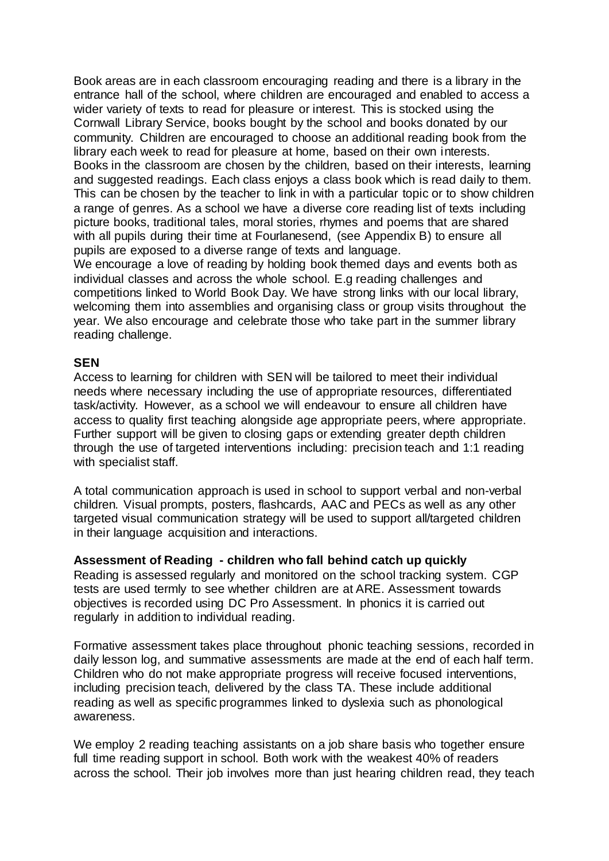Book areas are in each classroom encouraging reading and there is a library in the entrance hall of the school, where children are encouraged and enabled to access a wider variety of texts to read for pleasure or interest. This is stocked using the Cornwall Library Service, books bought by the school and books donated by our community. Children are encouraged to choose an additional reading book from the library each week to read for pleasure at home, based on their own interests. Books in the classroom are chosen by the children, based on their interests, learning and suggested readings. Each class enjoys a class book which is read daily to them. This can be chosen by the teacher to link in with a particular topic or to show children a range of genres. As a school we have a diverse core reading list of texts including picture books, traditional tales, moral stories, rhymes and poems that are shared with all pupils during their time at Fourlanesend, (see Appendix B) to ensure all pupils are exposed to a diverse range of texts and language.

We encourage a love of reading by holding book themed days and events both as individual classes and across the whole school. E.g reading challenges and competitions linked to World Book Day. We have strong links with our local library, welcoming them into assemblies and organising class or group visits throughout the year. We also encourage and celebrate those who take part in the summer library reading challenge.

## **SEN**

Access to learning for children with SEN will be tailored to meet their individual needs where necessary including the use of appropriate resources, differentiated task/activity. However, as a school we will endeavour to ensure all children have access to quality first teaching alongside age appropriate peers, where appropriate. Further support will be given to closing gaps or extending greater depth children through the use of targeted interventions including: precision teach and 1:1 reading with specialist staff.

A total communication approach is used in school to support verbal and non-verbal children. Visual prompts, posters, flashcards, AAC and PECs as well as any other targeted visual communication strategy will be used to support all/targeted children in their language acquisition and interactions.

## **Assessment of Reading - children who fall behind catch up quickly**

Reading is assessed regularly and monitored on the school tracking system. CGP tests are used termly to see whether children are at ARE. Assessment towards objectives is recorded using DC Pro Assessment. In phonics it is carried out regularly in addition to individual reading.

Formative assessment takes place throughout phonic teaching sessions, recorded in daily lesson log, and summative assessments are made at the end of each half term. Children who do not make appropriate progress will receive focused interventions, including precision teach, delivered by the class TA. These include additional reading as well as specific programmes linked to dyslexia such as phonological awareness.

We employ 2 reading teaching assistants on a job share basis who together ensure full time reading support in school. Both work with the weakest 40% of readers across the school. Their job involves more than just hearing children read, they teach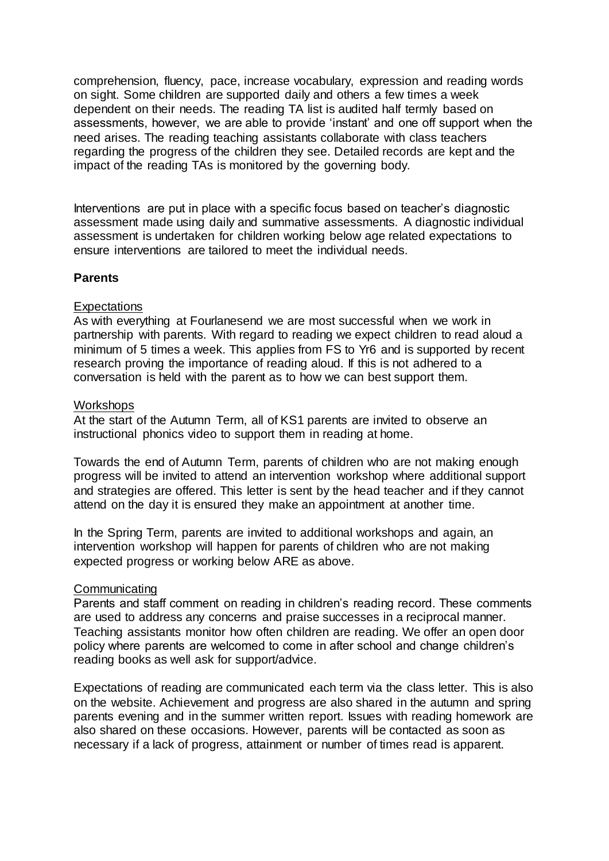comprehension, fluency, pace, increase vocabulary, expression and reading words on sight. Some children are supported daily and others a few times a week dependent on their needs. The reading TA list is audited half termly based on assessments, however, we are able to provide 'instant' and one off support when the need arises. The reading teaching assistants collaborate with class teachers regarding the progress of the children they see. Detailed records are kept and the impact of the reading TAs is monitored by the governing body.

Interventions are put in place with a specific focus based on teacher's diagnostic assessment made using daily and summative assessments. A diagnostic individual assessment is undertaken for children working below age related expectations to ensure interventions are tailored to meet the individual needs.

## **Parents**

### **Expectations**

As with everything at Fourlanesend we are most successful when we work in partnership with parents. With regard to reading we expect children to read aloud a minimum of 5 times a week. This applies from FS to Yr6 and is supported by recent research proving the importance of reading aloud. If this is not adhered to a conversation is held with the parent as to how we can best support them.

#### **Workshops**

At the start of the Autumn Term, all of KS1 parents are invited to observe an instructional phonics video to support them in reading at home.

Towards the end of Autumn Term, parents of children who are not making enough progress will be invited to attend an intervention workshop where additional support and strategies are offered. This letter is sent by the head teacher and if they cannot attend on the day it is ensured they make an appointment at another time.

In the Spring Term, parents are invited to additional workshops and again, an intervention workshop will happen for parents of children who are not making expected progress or working below ARE as above.

#### **Communicating**

Parents and staff comment on reading in children's reading record. These comments are used to address any concerns and praise successes in a reciprocal manner. Teaching assistants monitor how often children are reading. We offer an open door policy where parents are welcomed to come in after school and change children's reading books as well ask for support/advice.

Expectations of reading are communicated each term via the class letter. This is also on the website. Achievement and progress are also shared in the autumn and spring parents evening and in the summer written report. Issues with reading homework are also shared on these occasions. However, parents will be contacted as soon as necessary if a lack of progress, attainment or number of times read is apparent.